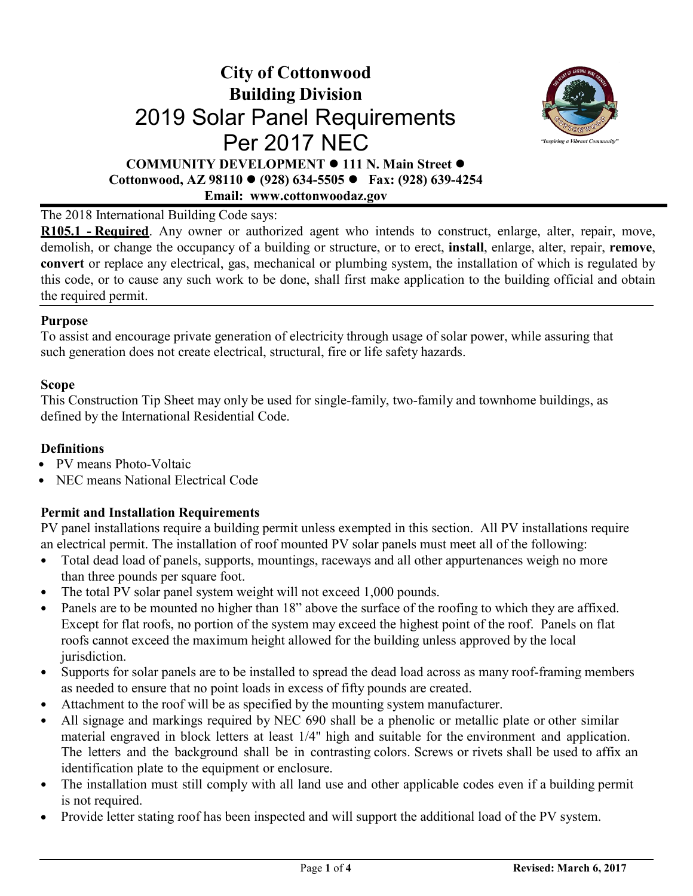## **City of Cottonwood Building Division** 2019 Solar Panel Requirements Per 2017 NEC **COMMUNITY DEVELOPMENT 111 N. Main Street Cottonwood, AZ 98110 (928) 634-5505 Fax: (928) 639-4254**

**Emai[l: www.cottonwoodaz.gov](http://www.cottonwoodaz.gov/)**



## The 2018 International Building Code says:

**R105.1 - Required**. Any owner or authorized agent who intends to construct, enlarge, alter, repair, move, demolish, or change the occupancy of a building or structure, or to erect, **install**, enlarge, alter, repair, **remove**, **convert** or replace any electrical, gas, mechanical or plumbing system, the installation of which is regulated by this code, or to cause any such work to be done, shall first make application to the building official and obtain the required permit.

#### **Purpose**

To assist and encourage private generation of electricity through usage of solar power, while assuring that such generation does not create electrical, structural, fire or life safety hazards.

#### **Scope**

This Construction Tip Sheet may only be used for single-family, two-family and townhome buildings, as defined by the International Residential Code.

### **Definitions**

- PV means Photo-Voltaic
- NEC means National Electrical Code

## **Permit and Installation Requirements**

PV panel installations require a building permit unless exempted in this section. All PV installations require an electrical permit. The installation of roof mounted PV solar panels must meet all of the following:

- Total dead load of panels, supports, mountings, raceways and all other appurtenances weigh no more than three pounds per square foot.
- The total PV solar panel system weight will not exceed 1,000 pounds.
- Panels are to be mounted no higher than 18" above the surface of the roofing to which they are affixed. Except for flat roofs, no portion of the system may exceed the highest point of the roof. Panels on flat roofs cannot exceed the maximum height allowed for the building unless approved by the local jurisdiction.
- Supports for solar panels are to be installed to spread the dead load across as many roof-framing members as needed to ensure that no point loads in excess of fifty pounds are created.
- Attachment to the roof will be as specified by the mounting system manufacturer.
- All signage and markings required by NEC 690 shall be a phenolic or metallic plate or other similar material engraved in block letters at least 1/4" high and suitable for the environment and application. The letters and the background shall be in contrasting colors. Screws or rivets shall be used to affix an identification plate to the equipment or enclosure.
- The installation must still comply with all land use and other applicable codes even if a building permit is not required.
- Provide letter stating roof has been inspected and will support the additional load of the PV system.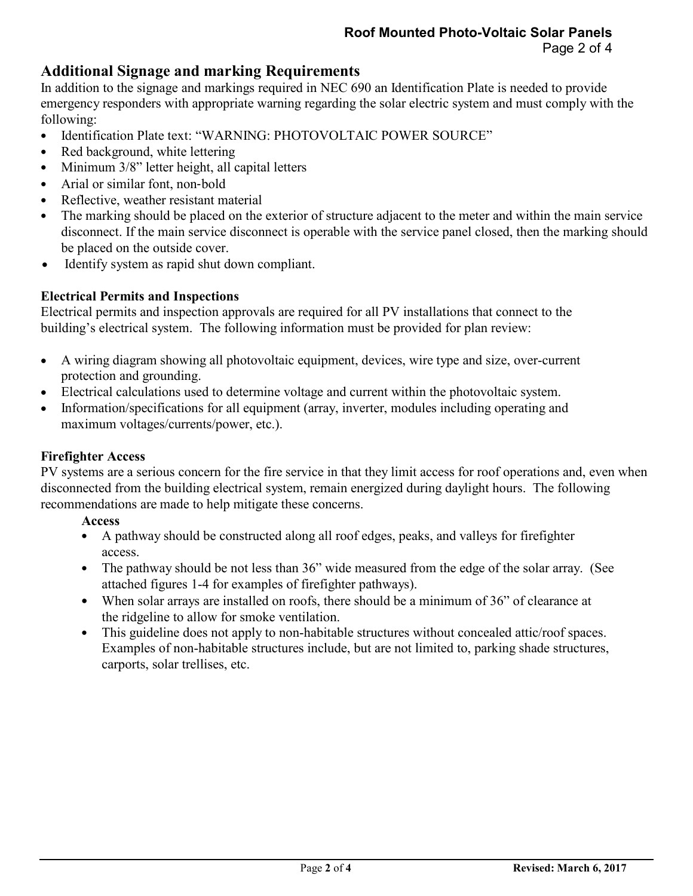## **Additional Signage and marking Requirements**

In addition to the signage and markings required in NEC 690 an Identification Plate is needed to provide emergency responders with appropriate warning regarding the solar electric system and must comply with the following:

- Identification Plate text: "WARNING: PHOTOVOLTAIC POWER SOURCE"
- Red background, white lettering
- Minimum 3/8" letter height, all capital letters
- Arial or similar font, non-bold
- Reflective, weather resistant material
- The marking should be placed on the exterior of structure adjacent to the meter and within the main service disconnect. If the main service disconnect is operable with the service panel closed, then the marking should be placed on the outside cover.
- Identify system as rapid shut down compliant.

## **Electrical Permits and Inspections**

Electrical permits and inspection approvals are required for all PV installations that connect to the building's electrical system. The following information must be provided for plan review:

- A wiring diagram showing all photovoltaic equipment, devices, wire type and size, over-current protection and grounding.
- Electrical calculations used to determine voltage and current within the photovoltaic system.
- Information/specifications for all equipment (array, inverter, modules including operating and maximum voltages/currents/power, etc.).

## **Firefighter Access**

PV systems are a serious concern for the fire service in that they limit access for roof operations and, even when disconnected from the building electrical system, remain energized during daylight hours. The following recommendations are made to help mitigate these concerns.

## **Access**

- A pathway should be constructed along all roof edges, peaks, and valleys for firefighter access.
- The pathway should be not less than 36" wide measured from the edge of the solar array. (See attached figures 1-4 for examples of firefighter pathways).
- When solar arrays are installed on roofs, there should be a minimum of 36" of clearance at the ridgeline to allow for smoke ventilation.
- This guideline does not apply to non-habitable structures without concealed attic/roof spaces. Examples of non-habitable structures include, but are not limited to, parking shade structures, carports, solar trellises, etc.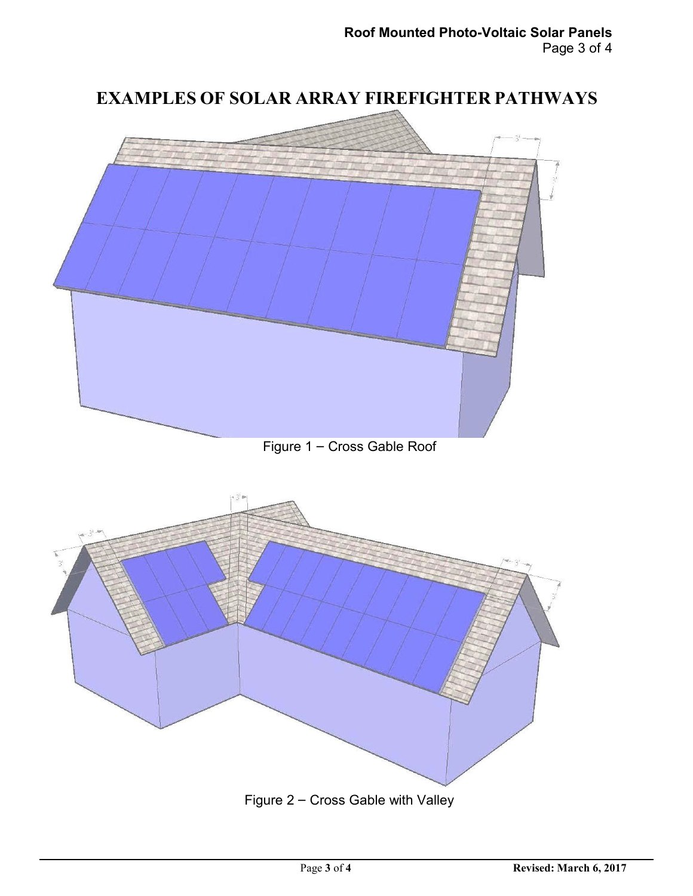

Figure 2 – Cross Gable with Valley